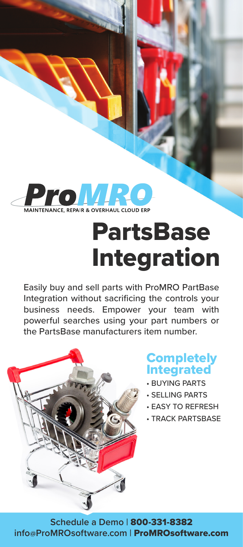

# PartsBase Integration

Easily buy and sell parts with ProMRO PartBase Integration without sacrificing the controls your business needs. Empower your team with powerful searches using your part numbers or the PartsBase manufacturers item number.



## **Completely** Integrated

- BUYING PARTS
- SELLING PARTS
- EASY TO REFRESH
- TRACK PARTSBASE

**Schedule a Demo |** 800-331-8382 **info@ProMROsoftware.com |** ProMROsoftware.com